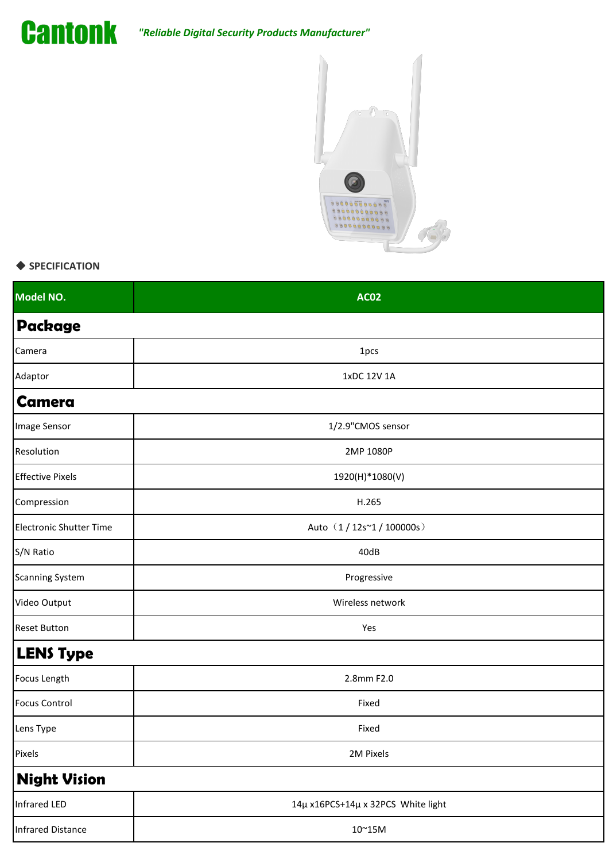

## *"Reliable Digital Security Products Manufacturer"*



## ◆ **SPECIFICATION**

| <b>AC02</b>                        |
|------------------------------------|
|                                    |
| 1pcs                               |
| 1xDC 12V 1A                        |
|                                    |
| 1/2.9"CMOS sensor                  |
| 2MP 1080P                          |
| 1920(H)*1080(V)                    |
| H.265                              |
| Auto (1/12s~1/100000s)             |
| 40dB                               |
| Progressive                        |
| Wireless network                   |
| Yes                                |
|                                    |
| 2.8mm F2.0                         |
| Fixed                              |
| Fixed                              |
| 2M Pixels                          |
|                                    |
| 14µ x16PCS+14µ x 32PCS White light |
| $10^{\sim}15\text{M}$              |
|                                    |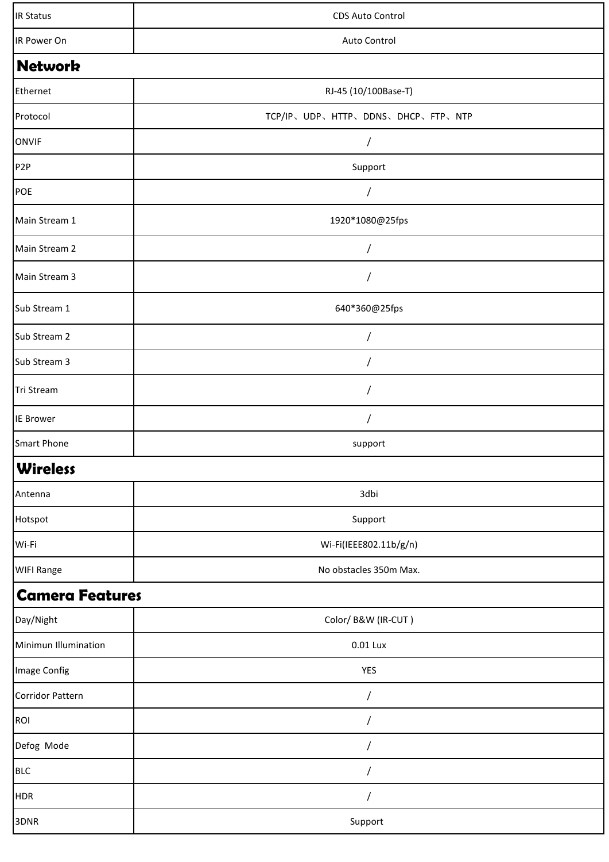| <b>IR Status</b>       | CDS Auto Control                  |  |
|------------------------|-----------------------------------|--|
| IR Power On            | Auto Control                      |  |
| <b>Network</b>         |                                   |  |
| Ethernet               | RJ-45 (10/100Base-T)              |  |
| Protocol               | TCP/IP、UDP、HTTP、DDNS、DHCP、FTP、NTP |  |
| <b>ONVIF</b>           | $\overline{1}$                    |  |
| P <sub>2</sub> P       | Support                           |  |
| POE                    | $\overline{1}$                    |  |
| Main Stream 1          | 1920*1080@25fps                   |  |
| Main Stream 2          | /                                 |  |
| Main Stream 3          | $\sqrt{2}$                        |  |
| Sub Stream 1           | 640*360@25fps                     |  |
| Sub Stream 2           | /                                 |  |
| Sub Stream 3           | $\overline{1}$                    |  |
| Tri Stream             |                                   |  |
| <b>IE Brower</b>       | /                                 |  |
| <b>Smart Phone</b>     | support                           |  |
| <b>Wireless</b>        |                                   |  |
| Antenna                | 3dbi                              |  |
| Hotspot                | Support                           |  |
| Wi-Fi                  | Wi-Fi(IEEE802.11b/g/n)            |  |
| <b>WIFI Range</b>      | No obstacles 350m Max.            |  |
| <b>Camera Features</b> |                                   |  |
| Day/Night              | Color/B&W (IR-CUT)                |  |
| Minimun Illumination   | 0.01 Lux                          |  |
| Image Config           | YES                               |  |
| Corridor Pattern       | /                                 |  |
| <b>ROI</b>             | /                                 |  |
| Defog Mode             | $\overline{1}$                    |  |
| <b>BLC</b>             | /                                 |  |
| <b>HDR</b>             | $\sqrt{2}$                        |  |
| 3DNR                   | Support                           |  |